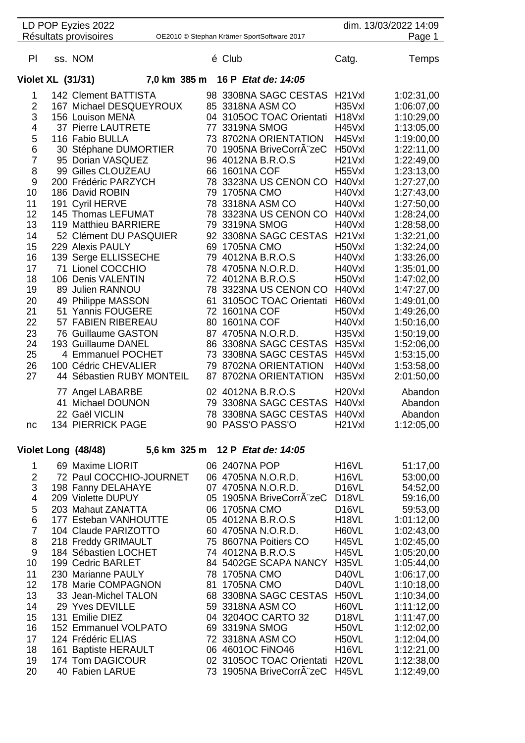|                          | LD POP Eyzies 2022<br>Résultats provisoires |                                  |    |                   | OE2010 © Stephan Krämer SportSoftware 2017       |                                           | dim. 13/03/2022 14:09<br>Page 1 |
|--------------------------|---------------------------------------------|----------------------------------|----|-------------------|--------------------------------------------------|-------------------------------------------|---------------------------------|
|                          |                                             |                                  |    |                   |                                                  |                                           |                                 |
| PI                       | ss. NOM                                     |                                  |    | é Club            |                                                  | Catg.                                     | Temps                           |
| <b>Violet XL (31/31)</b> |                                             | 7,0 km 385 m 16 P Etat de: 14:05 |    |                   |                                                  |                                           |                                 |
| 1                        | 142 Clement BATTISTA                        |                                  |    |                   | 98 3308NA SAGC CESTAS                            | H <sub>21</sub> V <sub>xl</sub>           | 1:02:31,00                      |
| 2                        | 167 Michael DESQUEYROUX                     |                                  |    |                   | 85 3318NA ASM CO                                 | H35Vxl                                    | 1:06:07,00                      |
| 3                        | 156 Louison MENA                            |                                  |    |                   | 04 3105OC TOAC Orientati                         | H <sub>18</sub> V <sub>xl</sub>           | 1:10:29,00                      |
| 4                        | 37 Pierre LAUTRETE                          |                                  |    | 77 3319NA SMOG    |                                                  | H45Vxl                                    | 1:13:05,00                      |
| 5                        | 116 Fabio BULLA                             |                                  |    |                   | 73 8702NA ORIENTATION                            | H45Vxl                                    | 1:19:00,00                      |
| 6<br>7                   | 30 Stéphane DUMORTIER<br>95 Dorian VASQUEZ  |                                  |    |                   | 70 1905NA BriveCorrÂ"zeC<br>96 4012NA B.R.O.S    | H50Vxl<br>H <sub>21</sub> V <sub>xl</sub> | 1:22:11,00                      |
| 8                        | 99 Gilles CLOUZEAU                          |                                  |    | 66 1601NA COF     |                                                  | H55Vxl                                    | 1:22:49,00<br>1:23:13,00        |
| 9                        | 200 Frédéric PARZYCH                        |                                  |    |                   | 78 3323NA US CENON CO                            | H40Vxl                                    | 1:27:27,00                      |
| 10                       | 186 David ROBIN                             |                                  | 79 | <b>1705NA CMO</b> |                                                  | H40Vxl                                    | 1:27:43,00                      |
| 11                       | 191 Cyril HERVE                             |                                  | 78 |                   | 3318NA ASM CO                                    | H40Vxl                                    | 1:27:50,00                      |
| 12                       | 145 Thomas LEFUMAT                          |                                  | 78 |                   | 3323NA US CENON CO                               | H40Vxl                                    | 1:28:24,00                      |
| 13                       | 119 Matthieu BARRIERE                       |                                  | 79 | 3319NA SMOG       |                                                  | H40Vxl                                    | 1:28:58,00                      |
| 14                       | 52 Clément DU PASQUIER                      |                                  |    |                   | 92 3308NA SAGC CESTAS                            | H <sub>21</sub> V <sub>xl</sub>           | 1:32:21,00                      |
| 15                       | 229 Alexis PAULY                            |                                  | 69 | 1705NA CMO        |                                                  | H50Vxl                                    | 1:32:24,00                      |
| 16                       | 139 Serge ELLISSECHE                        |                                  | 79 |                   | 4012NA B.R.O.S                                   | H40Vxl                                    | 1:33:26,00                      |
| 17                       | 71 Lionel COCCHIO                           |                                  |    |                   | 78 4705NA N.O.R.D.                               | H40Vxl                                    | 1:35:01,00                      |
| 18<br>19                 | 106 Denis VALENTIN<br>89 Julien RANNOU      |                                  |    |                   | 72 4012NA B.R.O.S<br>78 3323NA US CENON CO       | H50Vxl<br>H40Vxl                          | 1:47:02,00<br>1:47:27,00        |
| 20                       | 49 Philippe MASSON                          |                                  | 61 |                   | 3105OC TOAC Orientati                            | H60Vxl                                    | 1:49:01,00                      |
| 21                       | 51 Yannis FOUGERE                           |                                  | 72 | <b>1601NA COF</b> |                                                  | H50Vxl                                    | 1:49:26,00                      |
| 22                       | 57 FABIEN RIBEREAU                          |                                  | 80 | 1601NA COF        |                                                  | H40Vxl                                    | 1:50:16,00                      |
| 23                       | 76 Guillaume GASTON                         |                                  | 87 |                   | 4705NA N.O.R.D.                                  | H35Vxl                                    | 1:50:19,00                      |
| 24                       | 193 Guillaume DANEL                         |                                  |    |                   | 86 3308NA SAGC CESTAS                            | H35Vxl                                    | 1:52:06,00                      |
| 25                       | 4 Emmanuel POCHET                           |                                  |    |                   | 73 3308NA SAGC CESTAS                            | H45Vxl                                    | 1:53:15,00                      |
| 26                       | 100 Cédric CHEVALIER                        |                                  |    |                   | 79 8702NA ORIENTATION                            | H40Vxl                                    | 1:53:58,00                      |
| 27                       | 44 Sébastien RUBY MONTEIL                   |                                  |    |                   | 87 8702NA ORIENTATION                            | H35Vxl                                    | 2:01:50,00                      |
|                          | 77 Angel LABARBE                            |                                  |    |                   | 02 4012NA B.R.O.S                                | H <sub>20</sub> V <sub>xl</sub>           | Abandon                         |
|                          | 41 Michael DOUNON                           |                                  |    |                   | 79 3308NA SAGC CESTAS                            | H40Vxl                                    | Abandon                         |
|                          | 22 Gaël VICLIN<br><b>134 PIERRICK PAGE</b>  |                                  |    |                   | 78 3308NA SAGC CESTAS H40Vxl<br>90 PASS'O PASS'O | H <sub>21</sub> V <sub>xl</sub>           | Abandon                         |
| nc                       |                                             |                                  |    |                   |                                                  |                                           | 1:12:05,00                      |
|                          | Violet Long (48/48)                         | 5,6 km 325 m 12 P Etat de: 14:05 |    |                   |                                                  |                                           |                                 |
| 1.                       | 69 Maxime LIORIT                            |                                  |    | 06 2407NA POP     |                                                  | H <sub>16</sub> VL                        | 51:17,00                        |
| $\overline{2}$           | 72 Paul COCCHIO-JOURNET                     |                                  |    |                   | 06 4705NA N.O.R.D.                               | <b>H16VL</b>                              | 53:00,00                        |
| 3                        | 198 Fanny DELAHAYE                          |                                  |    |                   | 07 4705NA N.O.R.D.                               | D <sub>16</sub> VL                        | 54:52,00                        |
| 4                        | 209 Violette DUPUY<br>203 Mahaut ZANATTA    |                                  |    |                   | 05 1905NA BriveCorrÂ~zeC                         | D <sub>18</sub> VL                        | 59:16,00                        |
| 5<br>6                   | 177 Esteban VANHOUTTE                       |                                  |    | 06 1705NA CMO     | 05 4012NA B.R.O.S                                | D <sub>16</sub> VL<br>H <sub>18</sub> VL  | 59:53,00<br>1:01:12,00          |
| $\overline{7}$           | 104 Claude PARIZOTTO                        |                                  |    |                   | 60 4705NA N.O.R.D.                               | H60VL                                     | 1:02:43,00                      |
| 8                        | 218 Freddy GRIMAULT                         |                                  |    |                   | 75 8607NA Poitiers CO                            | H45VL                                     | 1:02:45,00                      |
| 9                        | 184 Sébastien LOCHET                        |                                  |    |                   | 74 4012NA B.R.O.S                                | H45VL                                     | 1:05:20,00                      |
| 10                       | 199 Cedric BARLET                           |                                  |    |                   | 84 5402GE SCAPA NANCY                            | H35VL                                     | 1:05:44,00                      |
| 11                       | 230 Marianne PAULY                          |                                  |    | 78 1705NA CMO     |                                                  | D40VL                                     | 1:06:17,00                      |
| 12                       | 178 Marie COMPAGNON                         |                                  |    | 81 1705NA CMO     |                                                  | D40VL                                     | 1:10:18,00                      |
| 13                       | 33 Jean-Michel TALON                        |                                  |    |                   | 68 3308NA SAGC CESTAS                            | H <sub>50</sub> VL                        | 1:10:34,00                      |
| 14                       | 29 Yves DEVILLE                             |                                  |    |                   | 59 3318NA ASM CO                                 | H60VL                                     | 1:11:12,00                      |
| 15<br>16                 | 131 Emilie DIEZ<br>152 Emmanuel VOLPATO     |                                  |    | 69 3319NA SMOG    | 04 3204OC CARTO 32                               | D <sub>18</sub> VL<br>H50VL               | 1:11:47,00<br>1:12:02,00        |
| 17                       | 124 Frédéric ELIAS                          |                                  |    |                   | 72 3318NA ASM CO                                 | H <sub>50</sub> VL                        | 1:12:04,00                      |
| 18                       | 161 Baptiste HERAULT                        |                                  |    |                   | 06 4601OC FINO46                                 | H <sub>16</sub> VL                        | 1:12:21,00                      |
| 19                       | 174 Tom DAGICOUR                            |                                  |    |                   | 02 3105OC TOAC Orientati                         | H <sub>20</sub> VL                        | 1:12:38,00                      |
| 20                       | 40 Fabien LARUE                             |                                  |    |                   | 73 1905NA BriveCorrA zeC                         | <b>H45VL</b>                              | 1:12:49,00                      |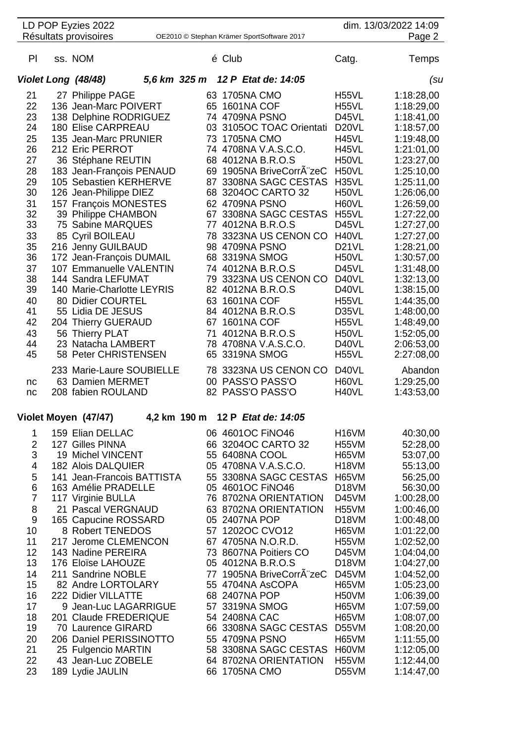|    | LD POP Eyzies 2022<br>Résultats provisoires |              | OE2010 © Stephan Krämer SportSoftware 2017 |                    | dim. 13/03/2022 14:09<br>Page 2 |
|----|---------------------------------------------|--------------|--------------------------------------------|--------------------|---------------------------------|
| PI | ss. NOM                                     |              | é Club                                     | Catg.              | Temps                           |
|    | Violet Long (48/48)                         | 5,6 km 325 m | 12 P Etat de: 14:05                        |                    | (su                             |
| 21 | 27 Philippe PAGE                            |              | 63 1705NA CMO                              | H <sub>55</sub> VL | 1:18:28,00                      |
| 22 | 136 Jean-Marc POIVERT                       |              | 65 1601NA COF                              | H <sub>55</sub> VL | 1:18:29,00                      |
| 23 | 138 Delphine RODRIGUEZ                      |              | 74 4709NA PSNO                             | D <sub>45</sub> VL | 1:18:41,00                      |
| 24 | <b>180 Elise CARPREAU</b>                   |              | 03 3105OC TOAC Orientati                   | D <sub>20</sub> VL | 1:18:57,00                      |
| 25 | 135 Jean-Marc PRUNIER                       |              | 73 1705NA CMO                              | H45VL              | 1:19:48,00                      |
| 26 | 212 Eric PERROT                             |              | 74 4708NA V.A.S.C.O.                       | H45VL              | 1:21:01,00                      |
| 27 | 36 Stéphane REUTIN                          |              | 68 4012NA B.R.O.S                          | H50VL              | 1:23:27,00                      |
| 28 | 183 Jean-François PENAUD                    | 69           | 1905NA BriveCorrA zeC                      | H50VL              | 1:25:10,00                      |
| 29 | 105 Sebastien KERHERVE                      |              | 87 3308NA SAGC CESTAS                      | H35VL              | 1:25:11,00                      |
| 30 | 126 Jean-Philippe DIEZ                      |              | 68 3204OC CARTO 32                         | H50VL              | 1:26:06,00                      |
| 31 | 157 François MONESTES                       |              | 62 4709NA PSNO                             | H60VL              | 1:26:59,00                      |
| 32 | 39 Philippe CHAMBON                         |              | 67 3308NA SAGC CESTAS                      | H55VL              | 1:27:22,00                      |
| 33 | 75 Sabine MARQUES                           |              | 77 4012NA B.R.O.S                          | D45VL              | 1:27:27,00                      |
| 33 | 85 Cyril BOILEAU                            | 78           | 3323NA US CENON CO                         | H40VL              | 1:27:27,00                      |
| 35 | 216 Jenny GUILBAUD                          |              | 98 4709NA PSNO                             | D <sub>21</sub> VL | 1:28:21,00                      |
| 36 | 172 Jean-François DUMAIL                    |              | 68 3319NA SMOG                             | H50VL              | 1:30:57,00                      |
| 37 | 107 Emmanuelle VALENTIN                     |              | 74 4012NA B.R.O.S                          | D45VL              | 1:31:48,00                      |
| 38 | 144 Sandra LEFUMAT                          | 79           | 3323NA US CENON CO                         | D40VL              | 1:32:13,00                      |
| 39 | 140 Marie-Charlotte LEYRIS                  |              | 82 4012NA B.R.O.S                          | D40VL              | 1:38:15,00                      |
| 40 | 80 Didier COURTEL                           |              | 63 1601NA COF                              | H <sub>55</sub> VL | 1:44:35,00                      |
| 41 | 55 Lidia DE JESUS                           |              | 84 4012NA B.R.O.S                          | D35VL              | 1:48:00,00                      |
| 42 | 204 Thierry GUERAUD                         |              | 67 1601NA COF                              | H <sub>55</sub> VL | 1:48:49,00                      |
| 43 | 56 Thierry PLAT                             | 71           | 4012NA B.R.O.S                             | H50VL              | 1:52:05,00                      |
| 44 | 23 Natacha LAMBERT                          |              | 78 4708NA V.A.S.C.O.                       | D40VL              | 2:06:53,00                      |
| 45 | 58 Peter CHRISTENSEN                        | 65           | 3319NA SMOG                                | H55VL              | 2:27:08,00                      |
|    | 233 Marie-Laure SOUBIELLE                   |              | 78 3323NA US CENON CO                      | D40VL              | Abandon                         |
| nc | 63 Damien MERMET                            |              | 00 PASS'O PASS'O                           | H60VL              | 1:29:25,00                      |
| nc | 208 fabien ROULAND                          |              | 82 PASS'O PASS'O                           | H40VL              | 1:43:53,00                      |
|    |                                             |              |                                            |                    |                                 |
|    | Violet Moyen (47/47)                        | 4,2 km 190 m | 12 P Etat de: 14:05                        |                    |                                 |
| 1  | 159 Elian DELLAC                            |              | 06 4601OC FINO46                           | <b>H16VM</b>       | 40:30,00                        |

|    | 159 Elian DELLAC           |     | 06 4601OC FINO46         | H16VM              | 40:30,00   |
|----|----------------------------|-----|--------------------------|--------------------|------------|
| 2  | 127 Gilles PINNA           | 66  | 3204OC CARTO 32          | H55VM              | 52:28,00   |
| 3  | 19 Michel VINCENT          | 55  | 6408NA COOL              | H65VM              | 53:07,00   |
| 4  | 182 Alois DALQUIER         | 05  | 4708NA V.A.S.C.O.        | H <sub>18</sub> VM | 55:13,00   |
| 5  | 141 Jean-Francois BATTISTA |     | 55 3308NA SAGC CESTAS    | H65VM              | 56:25,00   |
| 6  | 163 Amélie PRADELLE        |     | 05 4601OC FINO46         | D <sub>18</sub> VM | 56:30,00   |
| 7  | 117 Virginie BULLA         |     | 76 8702NA ORIENTATION    | D45VM              | 1:00:28,00 |
| 8  | 21 Pascal VERGNAUD         |     | 63 8702NA ORIENTATION    | H <sub>55</sub> VM | 1:00:46,00 |
| 9  | 165 Capucine ROSSARD       | 05  | 2407NA POP               | D <sub>18</sub> VM | 1:00:48,00 |
| 10 | 8 Robert TENEDOS           |     | 57 1202OC CVO12          | H65VM              | 1:01:22,00 |
| 11 | 217 Jerome CLEMENCON       |     | 67 4705NA N.O.R.D.       | H <sub>55</sub> VM | 1:02:52,00 |
| 12 | 143 Nadine PEREIRA         | 73. | 8607NA Poitiers CO       | D45VM              | 1:04:04,00 |
| 13 | 176 Eloïse LAHOUZE         | 05  | 4012NA B.R.O.S           | D <sub>18</sub> VM | 1:04:27,00 |
| 14 | 211 Sandrine NOBLE         |     | 77 1905NA BriveCorrÂ"zeC | D45VM              | 1:04:52,00 |
| 15 | 82 Andre LORTOLARY         |     | 55 4704NA AsCOPA         | H65VM              | 1:05:23,00 |
| 16 | 222 Didier VILLATTE        | 68  | <b>2407NA POP</b>        | H50VM              | 1:06:39,00 |
| 17 | 9 Jean-Luc LAGARRIGUE      |     | 57 3319NA SMOG           | H65VM              | 1:07:59,00 |
| 18 | 201 Claude FREDERIQUE      |     | 54 2408NA CAC            | H65VM              | 1:08:07,00 |
| 19 | 70 Laurence GIRARD         | 66  | 3308NA SAGC CESTAS       | D55VM              | 1:08:20,00 |
| 20 | 206 Daniel PERISSINOTTO    |     | 55 4709NA PSNO           | H65VM              | 1:11:55,00 |
| 21 | 25 Fulgencio MARTIN        | 58  | 3308NA SAGC CESTAS       | H60VM              | 1:12:05,00 |
| 22 | 43 Jean-Luc ZOBELE         |     | 64 8702NA ORIENTATION    | H55VM              | 1:12:44,00 |
| 23 | 189 Lydie JAULIN           | 66  | 1705NA CMO               | D55VM              | 1:14:47,00 |
|    |                            |     |                          |                    |            |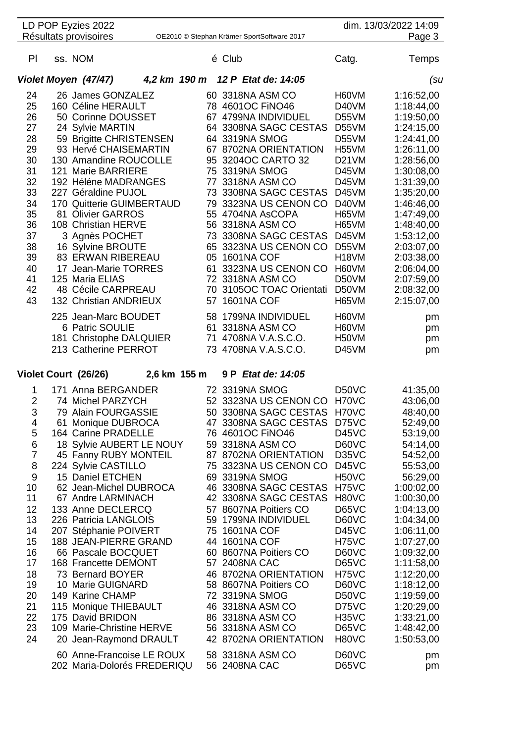|                | LD POP Eyzies 2022                               |                                                          |              |                   |                                            |                       | dim. 13/03/2022 14:09    |
|----------------|--------------------------------------------------|----------------------------------------------------------|--------------|-------------------|--------------------------------------------|-----------------------|--------------------------|
|                | Résultats provisoires                            |                                                          |              |                   | OE2010 © Stephan Krämer SportSoftware 2017 |                       | Page 3                   |
| PI             | ss. NOM                                          |                                                          |              | é Club            |                                            | Catg.                 | Temps                    |
|                | Violet Moyen (47/47)                             |                                                          |              |                   | 4,2 km 190 m 12 P Etat de: 14:05           |                       | (su                      |
| 24             | 26 James GONZALEZ                                |                                                          |              |                   | 60 3318NA ASM CO                           | H60VM                 | 1:16:52,00               |
| 25             | 160 Céline HERAULT                               |                                                          |              |                   | 78 4601OC FINO46                           | D40VM                 | 1:18:44,00               |
| 26             | 50 Corinne DOUSSET                               |                                                          |              |                   | 67 4799NA INDIVIDUEL                       | D55VM                 | 1:19:50,00               |
| 27             | 24 Sylvie MARTIN                                 |                                                          |              |                   | 64 3308NA SAGC CESTAS                      | D55VM                 | 1:24:15,00               |
| 28             |                                                  | 59 Brigitte CHRISTENSEN                                  |              |                   | 64 3319NA SMOG                             | D55VM                 | 1:24:41,00               |
| 29             |                                                  | 93 Hervé CHAISEMARTIN                                    |              |                   | 67 8702NA ORIENTATION                      | H55VM                 | 1:26:11,00               |
| 30             |                                                  | 130 Amandine ROUCOLLE                                    |              |                   | 95 3204OC CARTO 32                         | D <sub>21</sub> VM    | 1:28:56,00               |
| 31             | 121 Marie BARRIERE                               |                                                          |              | 75 3319NA SMOG    |                                            | D45VM                 | 1:30:08,00               |
| 32             | 192 Héléne MADRANGES                             |                                                          |              |                   | 77 3318NA ASM CO                           | D45VM                 | 1:31:39,00               |
| 33             | 227 Géraldine PUJOL                              |                                                          |              |                   | 73 3308NA SAGC CESTAS                      | D45VM                 | 1:35:20,00               |
| 34             |                                                  | 170 Quitterie GUIMBERTAUD                                |              |                   | 79 3323NA US CENON CO<br>55 4704NA AsCOPA  | D40VM                 | 1:46:46,00               |
| 35<br>36       | 81 Olivier GARROS<br>108 Christian HERVE         |                                                          |              |                   | 56 3318NA ASM CO                           | H65VM<br>H65VM        | 1:47:49,00<br>1:48:40,00 |
| 37             |                                                  |                                                          |              |                   | 73 3308NA SAGC CESTAS                      | D45VM                 | 1:53:12,00               |
| 38             | 3 Agnès POCHET<br>16 Sylvine BROUTE              |                                                          |              |                   | 65 3323NA US CENON CO                      | D55VM                 | 2:03:07,00               |
| 39             | <b>83 ERWAN RIBEREAU</b>                         |                                                          |              | 05 1601NA COF     |                                            | H <sub>18</sub> VM    | 2:03:38,00               |
| 40             | 17 Jean-Marie TORRES                             |                                                          |              |                   | 61 3323NA US CENON CO                      | H60VM                 | 2:06:04,00               |
| 41             | 125 Maria ELIAS                                  |                                                          |              |                   | 72 3318NA ASM CO                           | D50VM                 | 2:07:59,00               |
| 42             | 48 Cécile CARPREAU                               |                                                          |              |                   | 70 3105OC TOAC Orientati                   | D50VM                 | 2:08:32,00               |
| 43             | 132 Christian ANDRIEUX                           |                                                          | 57           | <b>1601NA COF</b> |                                            | H65VM                 | 2:15:07,00               |
|                | 225 Jean-Marc BOUDET                             |                                                          |              |                   | 58 1799NA INDIVIDUEL                       | H60VM                 |                          |
|                | 6 Patric SOULIE                                  |                                                          |              |                   | 61 3318NA ASM CO                           | H60VM                 | pm<br>pm                 |
|                |                                                  | 181 Christophe DALQUIER                                  | 71           |                   | 4708NA V.A.S.C.O.                          | H <sub>50</sub> VM    | pm                       |
|                | 213 Catherine PERROT                             |                                                          |              |                   | 73 4708NA V.A.S.C.O.                       | D45VM                 | pm                       |
|                |                                                  |                                                          |              |                   |                                            |                       |                          |
|                | Violet Court (26/26)                             |                                                          | 2,6 km 155 m |                   | 9 P Etat de: 14:05                         |                       |                          |
| 1              | 171 Anna BERGANDER                               |                                                          |              |                   | 72 3319NA SMOG                             | D50VC                 | 41:35,00                 |
| $\overline{2}$ | 74 Michel PARZYCH                                |                                                          |              |                   | 52 3323NA US CENON CO                      | H70VC                 | 43:06,00                 |
| 3              | 79 Alain FOURGASSIE                              |                                                          |              |                   | 50 3308NA SAGC CESTAS                      | H70VC                 | 48:40,00                 |
| 4<br>5         | 61 Monique DUBROCA<br><b>164 Carine PRADELLE</b> |                                                          |              |                   | 47 3308NA SAGC CESTAS                      | D75VC<br>D45VC        | 52:49,00                 |
| 6              |                                                  | 18 Sylvie AUBERT LE NOUY                                 |              |                   | 76 4601OC FINO46<br>59 3318NA ASM CO       | D60VC                 | 53:19,00<br>54:14,00     |
| $\overline{7}$ |                                                  | 45 Fanny RUBY MONTEIL                                    |              |                   | 87 8702NA ORIENTATION                      | D35VC                 | 54:52,00                 |
| 8              | 224 Sylvie CASTILLO                              |                                                          |              |                   | 75 3323NA US CENON CO                      | D45VC                 | 55:53,00                 |
| 9              | 15 Daniel ETCHEN                                 |                                                          | 69           |                   | 3319NA SMOG                                | H <sub>50</sub> VC    | 56:29,00                 |
| 10             |                                                  | 62 Jean-Michel DUBROCA                                   |              |                   | 46 3308NA SAGC CESTAS                      | H75VC                 | 1:00:02,00               |
| 11             | 67 Andre LARMINACH                               |                                                          |              |                   | 42 3308NA SAGC CESTAS                      | H80VC                 | 1:00:30,00               |
| 12             | 133 Anne DECLERCQ                                |                                                          |              |                   | 57 8607NA Poitiers CO                      | <b>D65VC</b>          | 1:04:13,00               |
| 13             | 226 Patricia LANGLOIS                            |                                                          |              |                   | 59 1799NA INDIVIDUEL                       | D60VC                 | 1:04:34,00               |
| 14             | 207 Stéphanie POIVERT                            |                                                          | 75           | 1601NA COF        |                                            | D <sub>45</sub> VC    | 1:06:11,00               |
| 15             |                                                  | 188 JEAN-PIERRE GRAND                                    |              | 44 1601NA COF     |                                            | H75VC                 | 1:07:27,00               |
| 16             | 66 Pascale BOCQUET                               |                                                          |              |                   | 60 8607NA Poitiers CO                      | D60VC                 | 1:09:32,00               |
| 17             | 168 Francette DEMONT                             |                                                          |              | 57 2408NA CAC     |                                            | D65VC                 | 1:11:58,00               |
| 18             | 73 Bernard BOYER                                 |                                                          |              |                   | 46 8702NA ORIENTATION                      | H75VC                 | 1:12:20,00               |
| 19             | 10 Marie GUIGNARD                                |                                                          |              |                   | 58 8607NA Poitiers CO                      | D60VC                 | 1:18:12,00               |
| 20             | 149 Karine CHAMP                                 |                                                          |              | 72 3319NA SMOG    |                                            | D <sub>50</sub> VC    | 1:19:59,00               |
| 21             | 115 Monique THIEBAULT                            |                                                          |              |                   | 46 3318NA ASM CO                           | D75VC                 | 1:20:29,00               |
| 22             | 175 David BRIDON                                 |                                                          |              |                   | 86 3318NA ASM CO                           | H <sub>35</sub> VC    | 1:33:21,00               |
| 23<br>24       |                                                  | 109 Marie-Christine HERVE                                |              |                   | 56 3318NA ASM CO<br>42 8702NA ORIENTATION  | D65VC<br><b>H80VC</b> | 1:48:42,00<br>1:50:53,00 |
|                |                                                  | 20 Jean-Raymond DRAULT                                   |              |                   |                                            |                       |                          |
|                |                                                  | 60 Anne-Francoise LE ROUX<br>202 Maria-Dolorés FREDERIQU |              | 56 2408NA CAC     | 58 3318NA ASM CO                           | D60VC<br>D65VC        | pm                       |
|                |                                                  |                                                          |              |                   |                                            |                       | pm                       |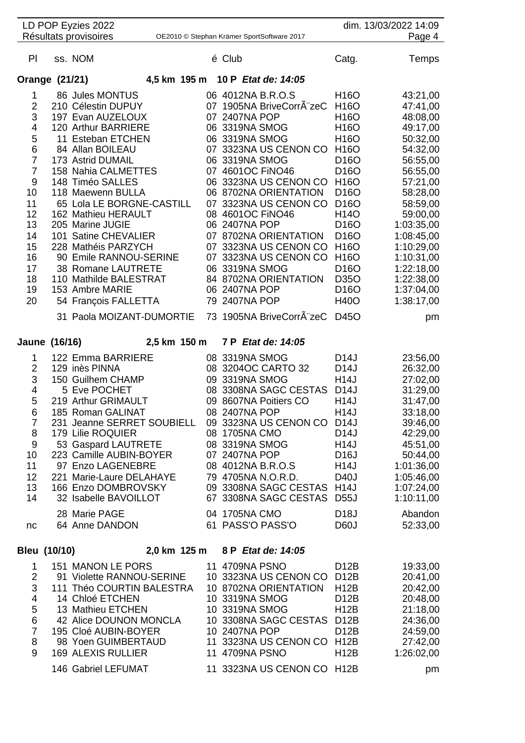|                                                                                                                                                                                                                                                                                           | OE2010 © Stephan Krämer SportSoftware 2017 |                                                                                                                                                                                                                                                                                                                                                                                                                                                                                                                                                                                                                                                                                                                                                                                                           | Page 4                                                                                                                                                                                                                                                                                                                                                                                       |
|-------------------------------------------------------------------------------------------------------------------------------------------------------------------------------------------------------------------------------------------------------------------------------------------|--------------------------------------------|-----------------------------------------------------------------------------------------------------------------------------------------------------------------------------------------------------------------------------------------------------------------------------------------------------------------------------------------------------------------------------------------------------------------------------------------------------------------------------------------------------------------------------------------------------------------------------------------------------------------------------------------------------------------------------------------------------------------------------------------------------------------------------------------------------------|----------------------------------------------------------------------------------------------------------------------------------------------------------------------------------------------------------------------------------------------------------------------------------------------------------------------------------------------------------------------------------------------|
|                                                                                                                                                                                                                                                                                           |                                            |                                                                                                                                                                                                                                                                                                                                                                                                                                                                                                                                                                                                                                                                                                                                                                                                           |                                                                                                                                                                                                                                                                                                                                                                                              |
|                                                                                                                                                                                                                                                                                           | é Club                                     | Catg.                                                                                                                                                                                                                                                                                                                                                                                                                                                                                                                                                                                                                                                                                                                                                                                                     | Temps                                                                                                                                                                                                                                                                                                                                                                                        |
|                                                                                                                                                                                                                                                                                           |                                            |                                                                                                                                                                                                                                                                                                                                                                                                                                                                                                                                                                                                                                                                                                                                                                                                           |                                                                                                                                                                                                                                                                                                                                                                                              |
| 197 Evan AUZELOUX<br>120 Arthur BARRIERE<br>11 Esteban ETCHEN<br>158 Nahia CALMETTES<br>65 Lola LE BORGNE-CASTILL<br>162 Mathieu HERAULT<br>101 Satine CHEVALIER<br>228 Mathéis PARZYCH<br>90 Emile RANNOU-SERINE<br>38 Romane LAUTRETE<br>110 Mathilde BALESTRAT<br>54 François FALLETTA |                                            | H <sub>16</sub> O<br>H16O<br>H16O<br>H <sub>16</sub> O<br>H <sub>16</sub> O<br>H <sub>16</sub> O<br>D <sub>16</sub> O<br>D <sub>16</sub> O<br>D <sub>16</sub> O<br>D <sub>16</sub> O<br>H <sub>14</sub> O<br>D <sub>16</sub> O<br>D <sub>16</sub> O<br>H <sub>16</sub> O<br>H <sub>16</sub> O<br>D <sub>16</sub> O<br>D35O<br>D <sub>16</sub> O<br><b>H40O</b>                                                                                                                                                                                                                                                                                                                                                                                                                                            | 43:21,00<br>47:41,00<br>48:08,00<br>49:17,00<br>50:32,00<br>54:32,00<br>56:55,00<br>56:55,00<br>57:21,00<br>58:28,00<br>58:59,00<br>59:00,00<br>1:03:35,00<br>1:08:45,00<br>1:10:29,00<br>1:10:31,00<br>1:22:18,00<br>1:22:38,00<br>1:37:04,00<br>1:38:17,00                                                                                                                                 |
| 31 Paola MOIZANT-DUMORTIE                                                                                                                                                                                                                                                                 |                                            | D45O                                                                                                                                                                                                                                                                                                                                                                                                                                                                                                                                                                                                                                                                                                                                                                                                      | pm                                                                                                                                                                                                                                                                                                                                                                                           |
| 122 Emma BARRIERE<br>231 Jeanne SERRET SOUBIELL<br>53 Gaspard LAUTRETE<br>223 Camille AUBIN-BOYER                                                                                                                                                                                         |                                            | D <sub>14</sub> J<br>D <sub>14</sub> J<br>H14J<br>D <sub>14</sub> J<br><b>H14J</b><br><b>H14J</b><br>D <sub>14</sub> J<br>H14J<br>D <sub>16</sub> J                                                                                                                                                                                                                                                                                                                                                                                                                                                                                                                                                                                                                                                       | 23:56,00<br>26:32,00<br>27:02,00<br>31:29,00<br>31:47,00<br>33:18,00<br>39:46,00<br>42:29,00<br>45:51,00<br>50:44,00                                                                                                                                                                                                                                                                         |
| 97 Enzo LAGENEBRE<br>221 Marie-Laure DELAHAYE<br>166 Enzo DOMBROVSKY<br>32 Isabelle BAVOILLOT                                                                                                                                                                                             |                                            | H14J<br>D40J                                                                                                                                                                                                                                                                                                                                                                                                                                                                                                                                                                                                                                                                                                                                                                                              | 1:01:36,00<br>1:05:46,00<br>1:07:24,00<br>1:10:11,00                                                                                                                                                                                                                                                                                                                                         |
|                                                                                                                                                                                                                                                                                           |                                            | D60J                                                                                                                                                                                                                                                                                                                                                                                                                                                                                                                                                                                                                                                                                                                                                                                                      | Abandon<br>52:33,00                                                                                                                                                                                                                                                                                                                                                                          |
|                                                                                                                                                                                                                                                                                           |                                            |                                                                                                                                                                                                                                                                                                                                                                                                                                                                                                                                                                                                                                                                                                                                                                                                           |                                                                                                                                                                                                                                                                                                                                                                                              |
| 151 MANON LE PORS<br>91 Violette RANNOU-SERINE<br>111 Théo COURTIN BALESTRA<br>42 Alice DOUNON MONCLA<br>195 Cloé AUBIN-BOYER<br>98 Yoen GUIMBERTAUD<br>146 Gabriel LEFUMAT                                                                                                               |                                            | D <sub>12</sub> B<br>D <sub>12</sub> B<br><b>H12B</b><br>D <sub>12</sub> B<br><b>H12B</b><br>D <sub>12</sub> B<br><b>H12B</b>                                                                                                                                                                                                                                                                                                                                                                                                                                                                                                                                                                                                                                                                             | 19:33,00<br>20:41,00<br>20:42,00<br>20:48,00<br>21:18,00<br>24:36,00<br>24:59,00<br>27:42,00<br>1:26:02,00<br>pm                                                                                                                                                                                                                                                                             |
|                                                                                                                                                                                                                                                                                           |                                            | 4,5 km 195 m 10 P Etat de: 14:05<br>06 4012NA B.R.O.S<br>07 1905NA BriveCorrÂ"zeC<br>07 2407NA POP<br>06 3319NA SMOG<br>06 3319NA SMOG<br>06 3319NA SMOG<br>07 4601OC FINO46<br>06 8702NA ORIENTATION<br>08 4601OC FINO46<br>06 2407NA POP<br>07 8702NA ORIENTATION<br>06 3319NA SMOG<br>84 8702NA ORIENTATION<br>06 2407NA POP<br>79 2407NA POP<br>2,5 km 150 m 7 P Etat de: 14:05<br>08 3319NA SMOG<br>08 3204OC CARTO 32<br>09 3319NA SMOG<br>08 3308NA SAGC CESTAS<br>09 8607NA Poitiers CO<br>08 2407NA POP<br>08 1705NA CMO<br>08 3319NA SMOG<br>07 2407NA POP<br>08 4012NA B.R.O.S<br>79 4705NA N.O.R.D.<br>04 1705NA CMO<br>61 PASS'O PASS'O<br>2,0 km 125 m 8 P Etat de: 14:05<br>11 4709NA PSNO<br>10 8702NA ORIENTATION<br>10 3319NA SMOG<br>10 3319NA SMOG<br>10 2407NA POP<br>11 4709NA PSNO | 07 3323NA US CENON CO<br>06 3323NA US CENON CO H16O<br>07 3323NA US CENON CO<br>07 3323NA US CENON CO<br>07 3323NA US CENON CO<br>73 1905NA BriveCorrA zeC<br>09 3323NA US CENON CO D14J<br>09 3308NA SAGC CESTAS H14J<br>67 3308NA SAGC CESTAS D55J<br>D <sub>18</sub> J<br>10 3323NA US CENON CO<br>10 3308NA SAGC CESTAS D12B<br>11 3323NA US CENON CO H12B<br>11 3323NA US CENON CO H12B |